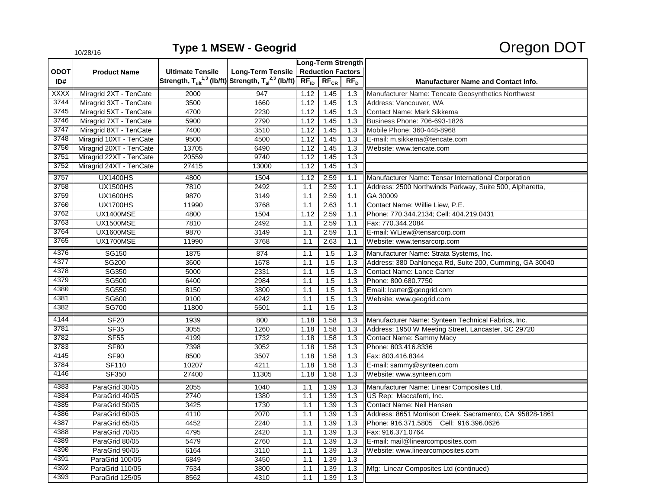|             | 10/28/10                |                         |                                                                                      |                          |                  |                  | - - - -                                                  |
|-------------|-------------------------|-------------------------|--------------------------------------------------------------------------------------|--------------------------|------------------|------------------|----------------------------------------------------------|
|             | <b>Product Name</b>     | <b>Ultimate Tensile</b> | <b>Long-Term Tensile</b>                                                             | Long-Term Strength       |                  |                  |                                                          |
| <b>ODOT</b> |                         |                         |                                                                                      | <b>Reduction Factors</b> |                  |                  |                                                          |
| ID#         |                         |                         | Strength, $T_{ult}^{1,3}$ (lb/ft) Strength, $T_{al}^{2,3}$ (lb/ft) $\boxed{RF_{ID}}$ |                          | $RF_{CR}$        | RF <sub>D</sub>  | <b>Manufacturer Name and Contact Info.</b>               |
| XXXX        | Miragrid 2XT - TenCate  | 2000                    | 947                                                                                  | 1.12                     | 1.45             | 1.3              | Manufacturer Name: Tencate Geosynthetics Northwest       |
| 3744        | Miragrid 3XT - TenCate  | 3500                    | 1660                                                                                 | 1.12                     | 1.45             | 1.3              | Address: Vancouver, WA                                   |
| 3745        | Miragrid 5XT - TenCate  | 4700                    | 2230                                                                                 | 1.12                     | 1.45             | 1.3              | Contact Name: Mark Sikkema                               |
| 3746        | Miragrid 7XT - TenCate  | 5900                    | 2790                                                                                 | 1.12                     | 1.45             | 1.3              | Business Phone: 706-693-1826                             |
| 3747        | Miragrid 8XT - TenCate  | 7400                    | 3510                                                                                 | 1.12                     | 1.45             | 1.3              | Mobile Phone: 360-448-8968                               |
| 3748        | Miragrid 10XT - TenCate | 9500                    | 4500                                                                                 | 1.12                     | 1.45             | 1.3              | E-mail: m.sikkema@tencate.com                            |
| 3750        | Miragrid 20XT - TenCate | 13705                   | 6490                                                                                 | 1.12                     | 1.45             | 1.3              | Website: www.tencate.com                                 |
| 3751        | Miragrid 22XT - TenCate | 20559                   | 9740                                                                                 | 1.12                     | 1.45             | 1.3              |                                                          |
| 3752        | Miragrid 24XT - TenCate | 27415                   | 13000                                                                                | 1.12                     | 1.45             | 1.3              |                                                          |
| 3757        | <b>UX1400HS</b>         | 4800                    | 1504                                                                                 | 1.12                     | 2.59             | 1.1              | Manufacturer Name: Tensar International Corporation      |
| 3758        | <b>UX1500HS</b>         | 7810                    | 2492                                                                                 | 1.1                      | 2.59             | 1.1              | Address: 2500 Northwinds Parkway, Suite 500, Alpharetta, |
| 3759        | <b>UX1600HS</b>         | 9870                    | 3149                                                                                 | 1.1                      | 2.59             | 1.1              | GA 30009                                                 |
| 3760        | <b>UX1700HS</b>         | 11990                   | 3768                                                                                 | 1.1                      | 2.63             | 1.1              | Contact Name: Willie Liew, P.E.                          |
| 3762        | <b>UX1400MSE</b>        | 4800                    | 1504                                                                                 | 1.12                     | 2.59             | 1.1              | Phone: 770.344.2134; Cell: 404.219.0431                  |
| 3763        | <b>UX1500MSE</b>        | 7810                    | 2492                                                                                 | 1.1                      | 2.59             | 1.1              | Fax: 770.344.2084                                        |
| 3764        | <b>UX1600MSE</b>        | 9870                    | 3149                                                                                 | 1.1                      | 2.59             | 1.1              | E-mail: WLiew@tensarcorp.com                             |
| 3765        | UX1700MSE               | 11990                   | 3768                                                                                 | 1.1                      | 2.63             | 1.1              | Website: www.tensarcorp.com                              |
| 4376        | SG150                   | 1875                    | 874                                                                                  | 1.1                      | 1.5              | 1.3              | Manufacturer Name: Strata Systems, Inc.                  |
| 4377        | SG200                   | 3600                    | 1678                                                                                 | 1.1                      | 1.5              | 1.3              | Address: 380 Dahlonega Rd, Suite 200, Cumming, GA 30040  |
| 4378        | SG350                   | 5000                    | 2331                                                                                 | 1.1                      | 1.5              | 1.3              | <b>Contact Name: Lance Carter</b>                        |
| 4379        | <b>SG500</b>            | 6400                    | 2984                                                                                 | 1.1                      | 1.5              | 1.3              | Phone: 800.680.7750                                      |
| 4380        | SG550                   | 8150                    | 3800                                                                                 | 1.1                      | 1.5              | 1.3              | Email: lcarter@geogrid.com                               |
| 4381        | SG600                   | 9100                    | 4242                                                                                 | 1.1                      | 1.5              | 1.3              | Website: www.geogrid.com                                 |
| 4382        | <b>SG700</b>            | 11800                   | 5501                                                                                 | 1.1                      | $\overline{1.5}$ | $\overline{1.3}$ |                                                          |
| 4144        | <b>SF20</b>             | 1939                    | 800                                                                                  | 1.18                     | 1.58             | 1.3              | Manufacturer Name: Synteen Technical Fabrics, Inc.       |
| 3781        | <b>SF35</b>             | 3055                    | 1260                                                                                 | 1.18                     | 1.58             | 1.3              | Address: 1950 W Meeting Street, Lancaster, SC 29720      |
| 3782        | <b>SF55</b>             | 4199                    | 1732                                                                                 | 1.18                     | 1.58             | 1.3              | Contact Name: Sammy Macy                                 |
| 3783        | <b>SF80</b>             | 7398                    | 3052                                                                                 | 1.18                     | 1.58             | 1.3              | Phone: 803.416.8336                                      |
| 4145        | SF90                    | 8500                    | 3507                                                                                 | 1.18                     | 1.58             | 1.3              | Fax: 803.416.8344                                        |
| 3784        | <b>SF110</b>            | 10207                   | 4211                                                                                 | 1.18                     | 1.58             | 1.3              | E-mail: sammy@synteen.com                                |
| 4146        | SF350                   | 27400                   | 11305                                                                                | 1.18                     | 1.58             | 1.3              | Website: www.synteen.com                                 |
| 4383        | ParaGrid 30/05          | 2055                    | 1040                                                                                 | 1.1                      | 1.39             | 1.3              | Manufacturer Name: Linear Composites Ltd.                |
| 4384        | ParaGrid 40/05          | $\frac{1}{2740}$        | 1380                                                                                 | 1.1                      | 1.39             | 1.3              | US Rep: Maccaferri, Inc.                                 |
| 4385        | ParaGrid 50/05          | 3425                    | 1730                                                                                 | 1.1                      | 1.39             | 1.3              | Contact Name: Neil Hansen                                |
| 4386        | ParaGrid 60/05          | 4110                    | 2070                                                                                 | 1.1                      | 1.39             | 1.3              | Address: 8651 Morrison Creek, Sacramento, CA 95828-1861  |
| 4387        | ParaGrid 65/05          | 4452                    | 2240                                                                                 | $1.1$                    | 1.39             | 1.3              | Phone: 916.371.5805 Cell: 916.396.0626                   |
| 4388        | ParaGrid 70/05          | 4795                    | 2420                                                                                 | 1.1                      | 1.39             | 1.3              | Fax: 916.371.0764                                        |
| 4389        | ParaGrid 80/05          | 5479                    | 2760                                                                                 | 1.1                      | 1.39             | 1.3              | E-mail: mail@linearcomposites.com                        |
| 4390        | ParaGrid 90/05          | 6164                    | 3110                                                                                 | 1.1                      | 1.39             | 1.3              | Website: www.linearcomposites.com                        |
| 4391        | ParaGrid 100/05         | 6849                    | 3450                                                                                 | 1.1                      | 1.39             | 1.3              |                                                          |
| 4392        | ParaGrid 110/05         | 7534                    | 3800                                                                                 | 1.1                      | 1.39             | 1.3              | Mfg: Linear Composites Ltd (continued)                   |
| 4393        | ParaGrid 125/05         | 8562                    | 4310                                                                                 | 1.1                      | 1.39             | $\overline{1.3}$ |                                                          |

## 10/28/16 **Type 1 MSEW - Geogrid** Oregon DOT